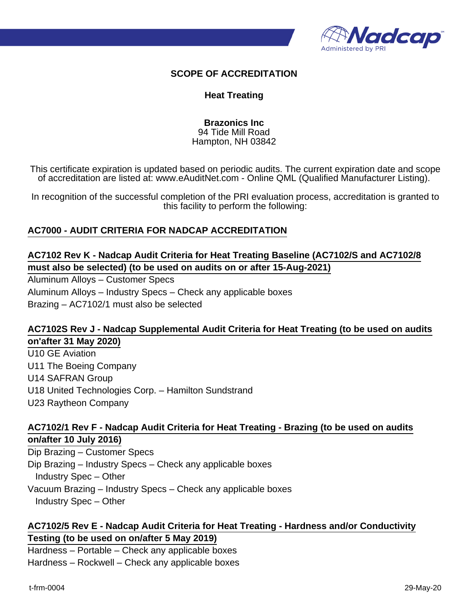

#### **SCOPE OF ACCREDITATION**

#### **Heat Treating**

**Brazonics Inc** 94 Tide Mill Road Hampton, NH 03842

This certificate expiration is updated based on periodic audits. The current expiration date and scope of accreditation are listed at: www.eAuditNet.com - Online QML (Qualified Manufacturer Listing).

In recognition of the successful completion of the PRI evaluation process, accreditation is granted to this facility to perform the following:

## **AC7000 - AUDIT CRITERIA FOR NADCAP ACCREDITATION**

# **AC7102 Rev K - Nadcap Audit Criteria for Heat Treating Baseline (AC7102/S and AC7102/8 must also be selected) (to be used on audits on or after 15-Aug-2021)**

Aluminum Alloys – Customer Specs Aluminum Alloys – Industry Specs – Check any applicable boxes Brazing – AC7102/1 must also be selected

## **AC7102S Rev J - Nadcap Supplemental Audit Criteria for Heat Treating (to be used on audits on'after 31 May 2020)**

U10 GE Aviation U11 The Boeing Company U14 SAFRAN Group U18 United Technologies Corp. – Hamilton Sundstrand U23 Raytheon Company

## **AC7102/1 Rev F - Nadcap Audit Criteria for Heat Treating - Brazing (to be used on audits on/after 10 July 2016)**

Dip Brazing – Customer Specs Dip Brazing – Industry Specs – Check any applicable boxes Industry Spec – Other Vacuum Brazing – Industry Specs – Check any applicable boxes Industry Spec – Other

## **AC7102/5 Rev E - Nadcap Audit Criteria for Heat Treating - Hardness and/or Conductivity Testing (to be used on on/after 5 May 2019)**

Hardness – Portable – Check any applicable boxes Hardness – Rockwell – Check any applicable boxes